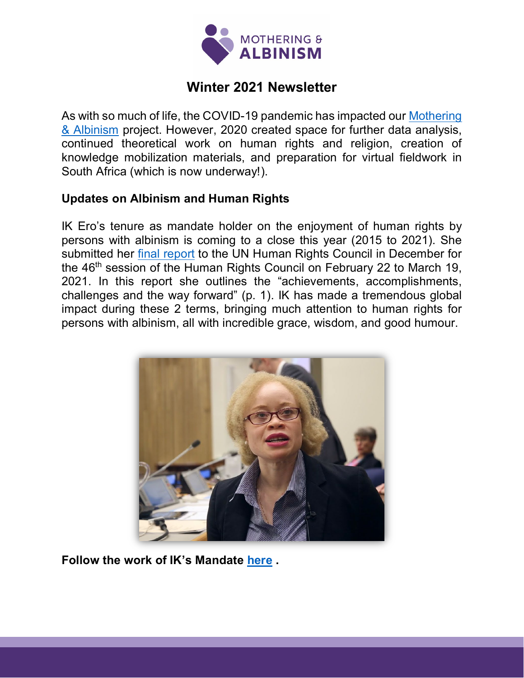

# **Winter 2021 Newsletter**

As with so much of life, the COVID-19 pandemic has impacted our [Mothering](https://motheringandalbinism.com/about/)  [& Albinism](https://motheringandalbinism.com/about/) project. However, 2020 created space for further data analysis, continued theoretical work on human rights and religion, creation of knowledge mobilization materials, and preparation for virtual fieldwork in South Africa (which is now underway!).

### **Updates on Albinism and Human Rights**

IK Ero's tenure as mandate holder on the enjoyment of human rights by persons with albinism is coming to a close this year (2015 to 2021). She submitted her [final report](https://undocs.org/A/HRC/46/32) to the UN Human Rights Council in December for the 46<sup>th</sup> session of the Human Rights Council on February 22 to March 19, 2021. In this report she outlines the "achievements, accomplishments, challenges and the way forward" (p. 1). IK has made a tremendous global impact during these 2 terms, bringing much attention to human rights for persons with albinism, all with incredible grace, wisdom, and good humour.



**Follow the work of IK's Mandate [here](https://twitter.com/unalbinism?lang=en) .**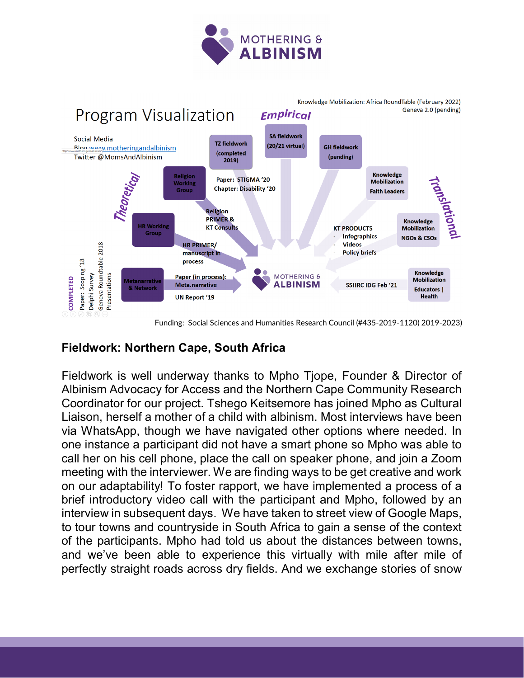



#### Funding: Social Sciences and Humanities Research Council (#435-2019-1120) 2019-2023)

### **Fieldwork: Northern Cape, South Africa**

Fieldwork is well underway thanks to Mpho Tjope, Founder & Director of Albinism Advocacy for Access and the Northern Cape Community Research Coordinator for our project. Tshego Keitsemore has joined Mpho as Cultural Liaison, herself a mother of a child with albinism. Most interviews have been via WhatsApp, though we have navigated other options where needed. In one instance a participant did not have a smart phone so Mpho was able to call her on his cell phone, place the call on speaker phone, and join a Zoom meeting with the interviewer. We are finding ways to be get creative and work on our adaptability! To foster rapport, we have implemented a process of a brief introductory video call with the participant and Mpho, followed by an interview in subsequent days. We have taken to street view of Google Maps, to tour towns and countryside in South Africa to gain a sense of the context of the participants. Mpho had told us about the distances between towns, and we've been able to experience this virtually with mile after mile of perfectly straight roads across dry fields. And we exchange stories of snow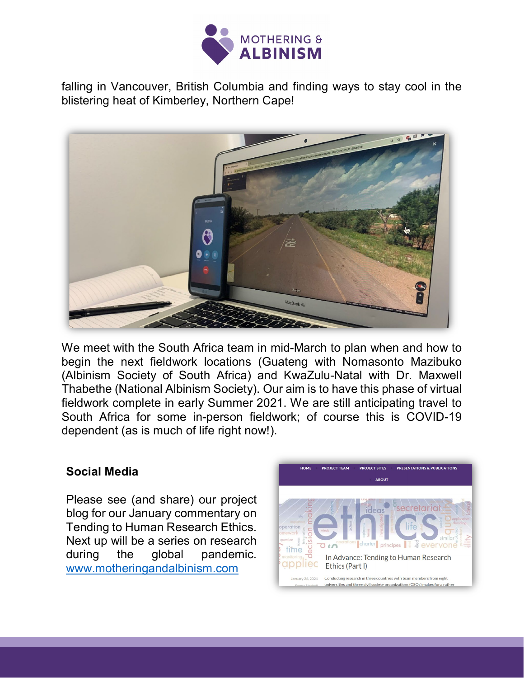

falling in Vancouver, British Columbia and finding ways to stay cool in the blistering heat of Kimberley, Northern Cape!



We meet with the South Africa team in mid-March to plan when and how to begin the next fieldwork locations (Guateng with Nomasonto Mazibuko (Albinism Society of South Africa) and KwaZulu-Natal with Dr. Maxwell Thabethe (National Albinism Society). Our aim is to have this phase of virtual fieldwork complete in early Summer 2021. We are still anticipating travel to South Africa for some in-person fieldwork; of course this is COVID-19 dependent (as is much of life right now!).

#### **Social Media**

Please see (and share) our project blog for our January commentary on Tending to Human Research Ethics. Next up will be a series on research during the global pandemic. [www.motheringandalbinism.com](http://www.motheringandalbinism.com/)